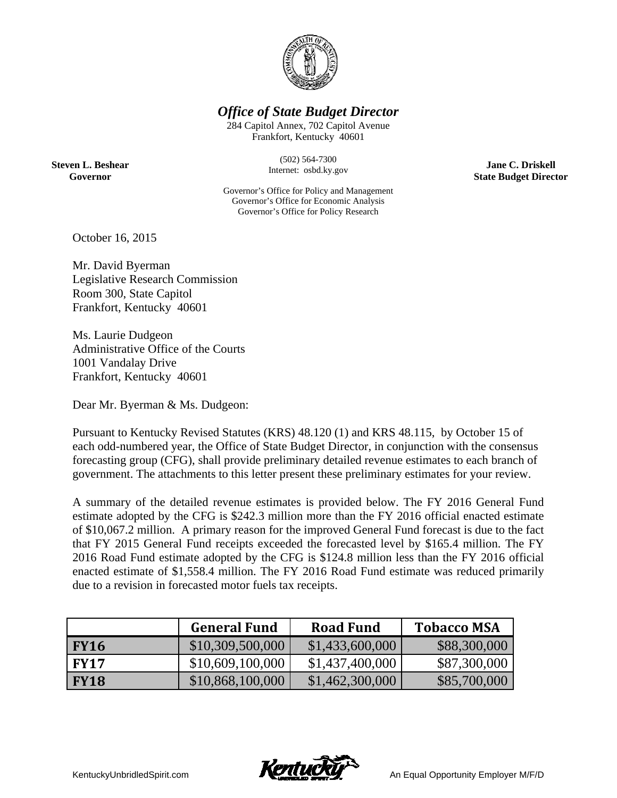

*Office of State Budget Director* 

284 Capitol Annex, 702 Capitol Avenue Frankfort, Kentucky 40601

**Steven L. Beshear Governor** 

(502) 564-7300 Internet: osbd.ky.gov

Governor's Office for Policy and Management Governor's Office for Economic Analysis Governor's Office for Policy Research

**Jane C. Driskell State Budget Director** 

October 16, 2015

Mr. David Byerman Legislative Research Commission Room 300, State Capitol Frankfort, Kentucky 40601

Ms. Laurie Dudgeon Administrative Office of the Courts 1001 Vandalay Drive Frankfort, Kentucky 40601

Dear Mr. Byerman & Ms. Dudgeon:

Pursuant to Kentucky Revised Statutes (KRS) 48.120 (1) and KRS 48.115, by October 15 of each odd-numbered year, the Office of State Budget Director, in conjunction with the consensus forecasting group (CFG), shall provide preliminary detailed revenue estimates to each branch of government. The attachments to this letter present these preliminary estimates for your review.

A summary of the detailed revenue estimates is provided below. The FY 2016 General Fund estimate adopted by the CFG is \$242.3 million more than the FY 2016 official enacted estimate of \$10,067.2 million. A primary reason for the improved General Fund forecast is due to the fact that FY 2015 General Fund receipts exceeded the forecasted level by \$165.4 million. The FY 2016 Road Fund estimate adopted by the CFG is \$124.8 million less than the FY 2016 official enacted estimate of \$1,558.4 million. The FY 2016 Road Fund estimate was reduced primarily due to a revision in forecasted motor fuels tax receipts.

|             | <b>General Fund</b> | <b>Road Fund</b> | <b>Tobacco MSA</b> |
|-------------|---------------------|------------------|--------------------|
| <b>FY16</b> | \$10,309,500,000    | \$1,433,600,000  | \$88,300,000       |
| <b>FY17</b> | \$10,609,100,000    | \$1,437,400,000  | \$87,300,000       |
| <b>FY18</b> | \$10,868,100,000    | \$1,462,300,000  | \$85,700,000       |

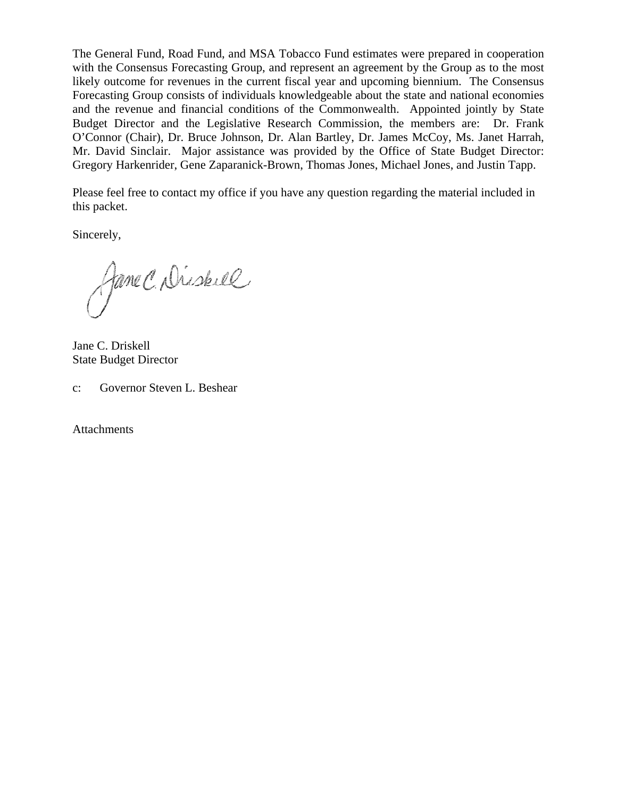The General Fund, Road Fund, and MSA Tobacco Fund estimates were prepared in cooperation with the Consensus Forecasting Group, and represent an agreement by the Group as to the most likely outcome for revenues in the current fiscal year and upcoming biennium. The Consensus Forecasting Group consists of individuals knowledgeable about the state and national economies and the revenue and financial conditions of the Commonwealth. Appointed jointly by State Budget Director and the Legislative Research Commission, the members are: Dr. Frank O'Connor (Chair), Dr. Bruce Johnson, Dr. Alan Bartley, Dr. James McCoy, Ms. Janet Harrah, Mr. David Sinclair. Major assistance was provided by the Office of State Budget Director: Gregory Harkenrider, Gene Zaparanick-Brown, Thomas Jones, Michael Jones, and Justin Tapp.

Please feel free to contact my office if you have any question regarding the material included in this packet.

Sincerely,

Jane C. Diskel

Jane C. Driskell State Budget Director

c: Governor Steven L. Beshear

**Attachments**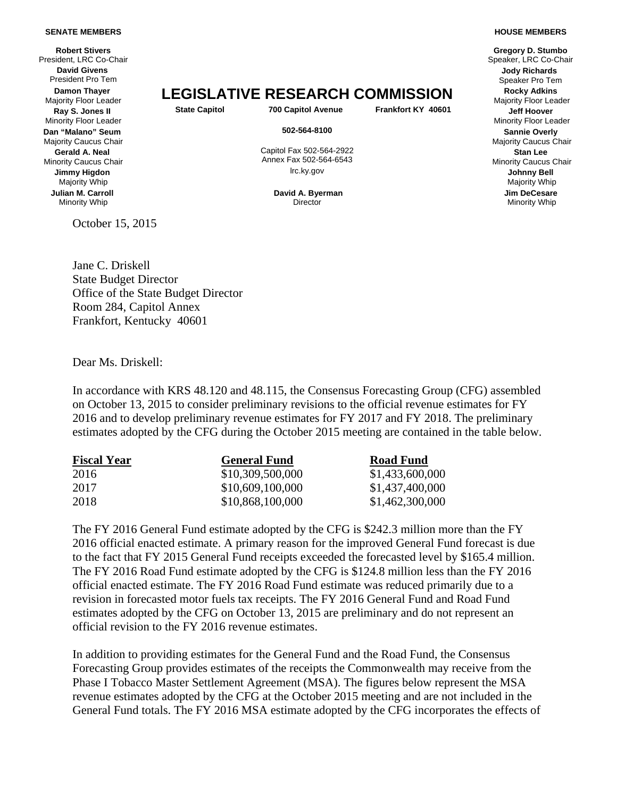## **SENATE MEMBERS**

**Robert Stivers**  President, LRC Co-Chair Speaker, LRC Co-Chair Speaker, LRC Co-Chair Speaker, LRC Co-Chair **David Givens** President Pro Tem **Damon Thayer Ray S. Jones II** Minority Floor Leader **Dan "Malano" Seum** Majority Caucus Chair **Gerald A. Neal** Minority Caucus Chair **Jimmy Higdon** Majority Whip **Julian M. Carroll** Minority Whip

October 15, 2015

**Damon Thayer**<br>Majority Floor Leader **LEGISLATIVE RESEARCH COMMISSION** Ray Sulphes II State Capitol 700 Capitol Avenue **Frankfort KY 40601** 

 Capitol Fax 502-564-2922 Annex Fax 502-564-6543

> **David A. Byerman Director**

## **HOUSE MEMBERS**

**Gregory D. Stumbo Jody Richards** Speaker Pro Tem Majority Floor Leader **State Capitol 700 Capitol Avenue Frankfort KY 40601 Jeff Hoover** Minority Floor Leader **502-564-8100 Sannie Overly** Majority Caucus Chair **Stan Lee** Minority Caucus Chair lrc.ky.gov **Johnny Bell** Majority Whip **Jim DeCesare** Minority Whip

Jane C. Driskell State Budget Director Office of the State Budget Director Room 284, Capitol Annex Frankfort, Kentucky 40601

Dear Ms. Driskell:

In accordance with KRS 48.120 and 48.115, the Consensus Forecasting Group (CFG) assembled on October 13, 2015 to consider preliminary revisions to the official revenue estimates for FY 2016 and to develop preliminary revenue estimates for FY 2017 and FY 2018. The preliminary estimates adopted by the CFG during the October 2015 meeting are contained in the table below.

| <b>Fiscal Year</b> | <b>General Fund</b> | <b>Road Fund</b> |  |  |
|--------------------|---------------------|------------------|--|--|
| 2016               | \$10,309,500,000    | \$1,433,600,000  |  |  |
| 2017               | \$10,609,100,000    | \$1,437,400,000  |  |  |
| 2018               | \$10,868,100,000    | \$1,462,300,000  |  |  |

The FY 2016 General Fund estimate adopted by the CFG is \$242.3 million more than the FY 2016 official enacted estimate. A primary reason for the improved General Fund forecast is due to the fact that FY 2015 General Fund receipts exceeded the forecasted level by \$165.4 million. The FY 2016 Road Fund estimate adopted by the CFG is \$124.8 million less than the FY 2016 official enacted estimate. The FY 2016 Road Fund estimate was reduced primarily due to a revision in forecasted motor fuels tax receipts. The FY 2016 General Fund and Road Fund estimates adopted by the CFG on October 13, 2015 are preliminary and do not represent an official revision to the FY 2016 revenue estimates.

In addition to providing estimates for the General Fund and the Road Fund, the Consensus Forecasting Group provides estimates of the receipts the Commonwealth may receive from the Phase I Tobacco Master Settlement Agreement (MSA). The figures below represent the MSA revenue estimates adopted by the CFG at the October 2015 meeting and are not included in the General Fund totals. The FY 2016 MSA estimate adopted by the CFG incorporates the effects of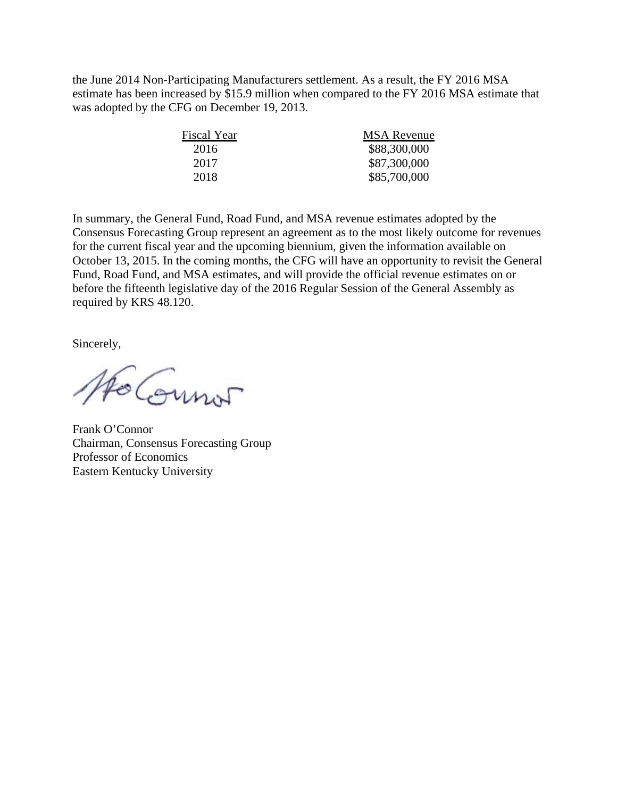the June 2014 Non-Participating Manufacturers settlement. As a result, the FY 2016 MSA estimate has been increased by \$15.9 million when compared to the FY 2016 MSA estimate that was adopted by the CFG on December 19, 2013.

| Fiscal Year | <b>MSA</b> Revenue |  |  |  |  |
|-------------|--------------------|--|--|--|--|
| 2016        | \$88,300,000       |  |  |  |  |
| 2017        | \$87,300,000       |  |  |  |  |
| 2018        | \$85,700,000       |  |  |  |  |
|             |                    |  |  |  |  |

In summary, the General Fund, Road Fund, and MSA revenue estimates adopted by the Consensus Forecasting Group represent an agreement as to the most likely outcome for revenues for the current fiscal year and the upcoming biennium, given the information available on October 13, 2015. In the coming months, the CFG will have an opportunity to revisit the General Fund, Road Fund, and MSA estimates, and will provide the official revenue estimates on or before the fifteenth legislative day of the 2016 Regular Session of the General Assembly as required by KRS 48.120.

Sincerely,

Ho Counor

Frank O'Connor Chairman, Consensus Forecasting Group Professor of Economics Eastern Kentucky University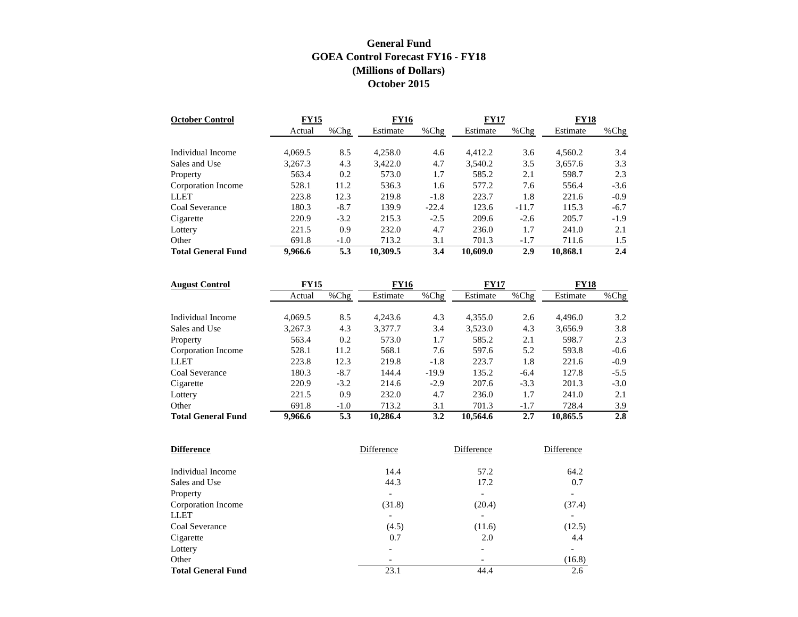## **General Fund GOEA Control Forecast FY16 - FY18 (Millions of Dollars) October 2015**

| <b>October Control</b>    | <b>FY15</b> |        | <b>FY16</b> |         | <b>FY17</b> |         | FY18     |         |
|---------------------------|-------------|--------|-------------|---------|-------------|---------|----------|---------|
|                           | Actual      | %Chg   | Estimate    | $%$ Chg | Estimate    | $%$ Chg | Estimate | % $Chg$ |
|                           |             |        |             |         |             |         |          |         |
| Individual Income         | 4.069.5     | 8.5    | 4,258.0     | 4.6     | 4.412.2     | 3.6     | 4,560.2  | 3.4     |
| Sales and Use             | 3.267.3     | 4.3    | 3.422.0     | 4.7     | 3,540.2     | 3.5     | 3,657.6  | 3.3     |
| Property                  | 563.4       | 0.2    | 573.0       | 1.7     | 585.2       | 2.1     | 598.7    | 2.3     |
| Corporation Income        | 528.1       | 11.2   | 536.3       | 1.6     | 577.2       | 7.6     | 556.4    | $-3.6$  |
| <b>LLET</b>               | 223.8       | 12.3   | 219.8       | $-1.8$  | 223.7       | 1.8     | 221.6    | $-0.9$  |
| Coal Severance            | 180.3       | $-8.7$ | 139.9       | $-22.4$ | 123.6       | $-11.7$ | 115.3    | $-6.7$  |
| Cigarette                 | 220.9       | $-3.2$ | 215.3       | $-2.5$  | 209.6       | $-2.6$  | 205.7    | $-1.9$  |
| Lottery                   | 221.5       | 0.9    | 232.0       | 4.7     | 236.0       | 1.7     | 241.0    | 2.1     |
| Other                     | 691.8       | $-1.0$ | 713.2       | 3.1     | 701.3       | $-1.7$  | 711.6    | 1.5     |
| <b>Total General Fund</b> | 9,966.6     | 5.3    | 10,309.5    | 3.4     | 10,609.0    | 2.9     | 10,868.1 | 2.4     |

| <b>August Control</b>     | <b>FY15</b> |         | <b>FY16</b> |         | <b>FY17</b> |         | <b>FY18</b> |        |
|---------------------------|-------------|---------|-------------|---------|-------------|---------|-------------|--------|
|                           | Actual      | $%$ Chg | Estimate    | $%$ Chg | Estimate    | $%$ Chg | Estimate    | %Chg   |
|                           |             |         |             |         |             |         |             |        |
| Individual Income         | 4.069.5     | 8.5     | 4.243.6     | 4.3     | 4,355.0     | 2.6     | 4,496.0     | 3.2    |
| Sales and Use             | 3,267.3     | 4.3     | 3,377.7     | 3.4     | 3,523.0     | 4.3     | 3,656.9     | 3.8    |
| Property                  | 563.4       | 0.2     | 573.0       | 1.7     | 585.2       | 2.1     | 598.7       | 2.3    |
| Corporation Income        | 528.1       | 11.2    | 568.1       | 7.6     | 597.6       | 5.2     | 593.8       | $-0.6$ |
| <b>LLET</b>               | 223.8       | 12.3    | 219.8       | $-1.8$  | 223.7       | 1.8     | 221.6       | $-0.9$ |
| Coal Severance            | 180.3       | $-8.7$  | 144.4       | $-19.9$ | 135.2       | $-6.4$  | 127.8       | $-5.5$ |
| Cigarette                 | 220.9       | $-3.2$  | 214.6       | $-2.9$  | 207.6       | $-3.3$  | 201.3       | $-3.0$ |
| Lottery                   | 221.5       | 0.9     | 232.0       | 4.7     | 236.0       | 1.7     | 241.0       | 2.1    |
| Other                     | 691.8       | $-1.0$  | 713.2       | 3.1     | 701.3       | $-1.7$  | 728.4       | 3.9    |
| <b>Total General Fund</b> | 9.966.6     | 5.3     | 10.286.4    | 3.2     | 10.564.6    | 2.7     | 10.865.5    | 2.8    |

| <b>Difference</b>         | Difference | Difference | Difference               |
|---------------------------|------------|------------|--------------------------|
|                           |            |            |                          |
| Individual Income         | 14.4       | 57.2       | 64.2                     |
| Sales and Use             | 44.3       | 17.2       | 0.7                      |
| Property                  | -          | -          | $\overline{\phantom{0}}$ |
| Corporation Income        | (31.8)     | (20.4)     | (37.4)                   |
| <b>LLET</b>               |            |            |                          |
| Coal Severance            | (4.5)      | (11.6)     | (12.5)                   |
| Cigarette                 | 0.7        | 2.0        | 4.4                      |
| Lottery                   | -          | -          | $\overline{\phantom{0}}$ |
| Other                     |            |            | (16.8)                   |
| <b>Total General Fund</b> | 23.1       | 44.4       | 2.6                      |